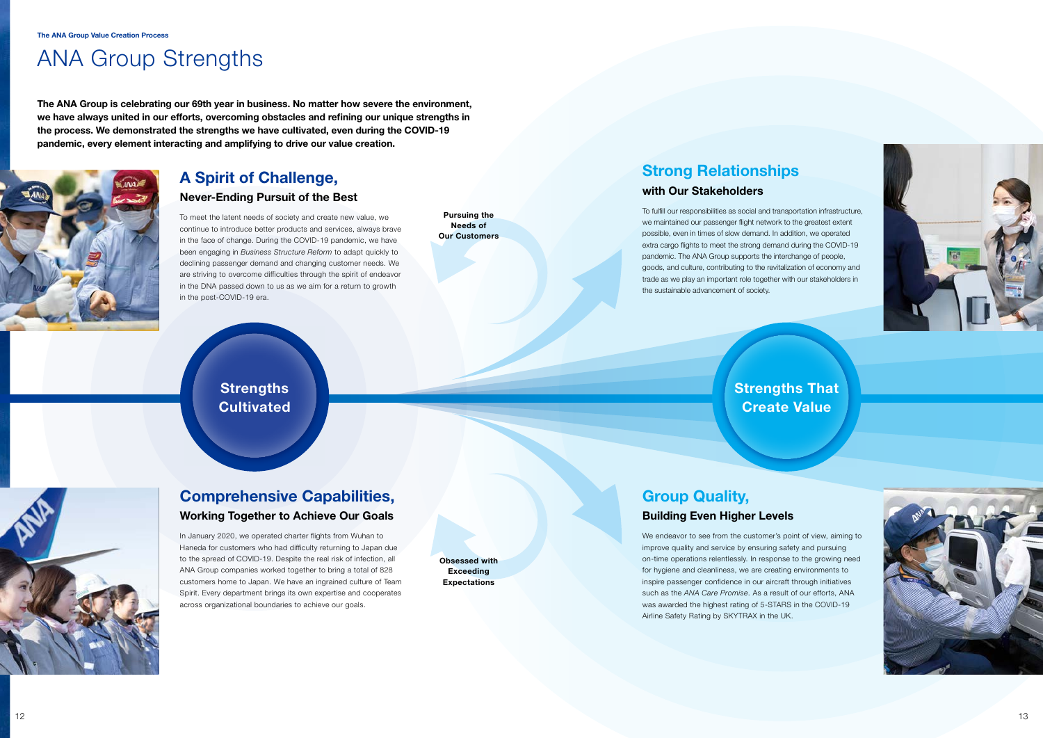# Strengths That



Create Value





# ANA Group Strengths

The ANA Group is celebrating our 69th year in business. No matter how severe the environment, we have always united in our efforts, overcoming obstacles and refining our unique strengths in the process. We demonstrated the strengths we have cultivated, even during the COVID-19 pandemic, every element interacting and amplifying to drive our value creation.



## A Spirit of Challenge,

Obsessed with **Exceeding Expectations** 

## Never-Ending Pursuit of the Best

To meet the latent needs of society and create new value, we continue to introduce better products and services, always brave in the face of change. During the COVID-19 pandemic, we have been engaging in *Business Structure Reform* to adapt quickly to declining passenger demand and changing customer needs. We are striving to overcome difficulties through the spirit of endeavor in the DNA passed down to us as we aim for a return to growth in the post-COVID-19 era.

Pursuing the Needs of Our Customers

# Comprehensive Capabilities, Working Together to Achieve Our Goals

In January 2020, we operated charter flights from Wuhan to Haneda for customers who had difficulty returning to Japan due to the spread of COVID-19. Despite the real risk of infection, all ANA Group companies worked together to bring a total of 828 customers home to Japan. We have an ingrained culture of Team Spirit. Every department brings its own expertise and cooperates across organizational boundaries to achieve our goals.

# Strong Relationships with Our Stakeholders

To fulfill our responsibilities as social and transportation infrastructure, we maintained our passenger flight network to the greatest extent possible, even in times of slow demand. In addition, we operated extra cargo flights to meet the strong demand during the COVID-19 pandemic. The ANA Group supports the interchange of people, goods, and culture, contributing to the revitalization of economy and trade as we play an important role together with our stakeholders in the sustainable advancement of society.

**Strengths Cultivated** 

## Group Quality, Building Even Higher Levels

We endeavor to see from the customer's point of view, aiming to improve quality and service by ensuring safety and pursuing on-time operations relentlessly. In response to the growing need for hygiene and cleanliness, we are creating environments to inspire passenger confidence in our aircraft through initiatives such as the *ANA Care Promise*. As a result of our efforts, ANA was awarded the highest rating of 5-STARS in the COVID-19 Airline Safety Rating by SKYTRAX in the UK.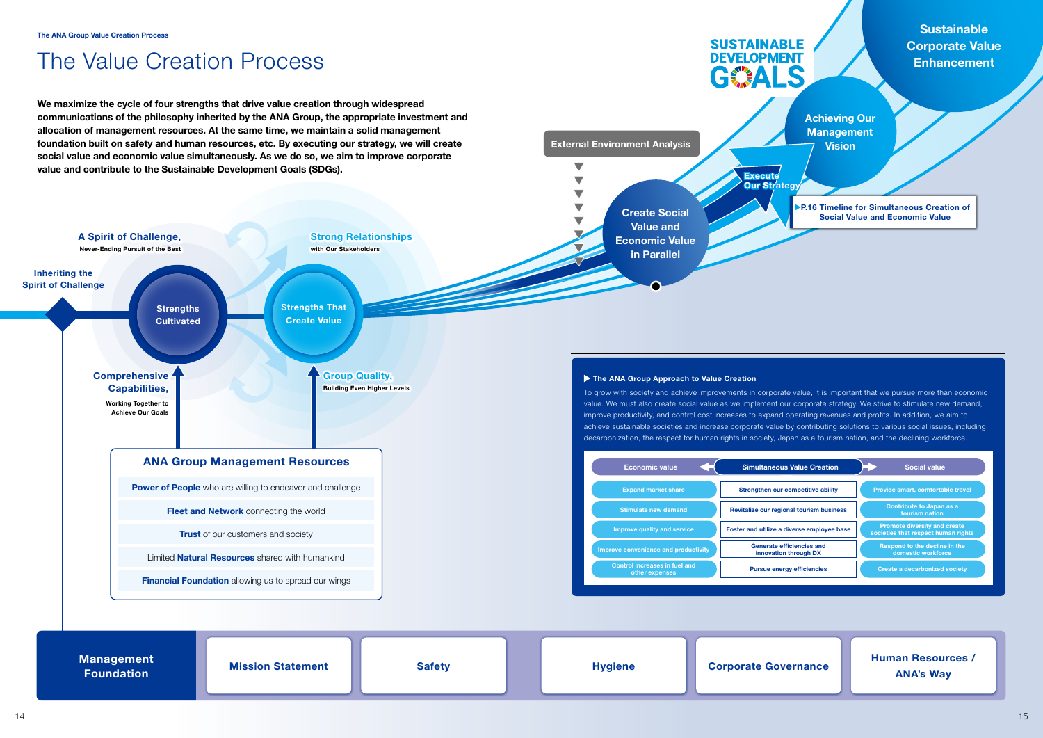Achieving Our **Management Vision** 

**SUSTAINABLE DEVELOPMENT** 

GEALS

External Environment Analysis

P.16 Timeline for Simultaneous Creation of Social Value and Economic Value



# The Value Creation Process

We maximize the cycle of four strengths that drive value creation through widespread communications of the philosophy inherited by the ANA Group, the appropriate investment and allocation of management resources. At the same time, we maintain a solid management foundation built on safety and human resources, etc. By executing our strategy, we will create social value and economic value simultaneously. As we do so, we aim to improve corporate



**Sustainable** Corporate Value **Enhancement** 

### Human Resources / ANA's Way

| <b>conomic value</b>                      | <b>Simultaneous Value Creation</b>                 | <b>Social value</b>                                                        |
|-------------------------------------------|----------------------------------------------------|----------------------------------------------------------------------------|
| <b>pand market share</b>                  | Strengthen our competitive ability                 | Provide smart, comfortable travel                                          |
| nulate new demand                         | Revitalize our regional tourism business           | Contribute to Japan as a<br>tourism nation                                 |
| ve quality and service                    | Foster and utilize a diverse employee base         | <b>Promote diversity and create</b><br>societies that respect human rights |
| nvenience and productivity                | Generate efficiencies and<br>innovation through DX | Respond to the decline in the<br>domestic workforce                        |
| I increases in fuel and<br>other expenses | <b>Pursue energy efficiencies</b>                  | <b>Create a decarbonized society</b>                                       |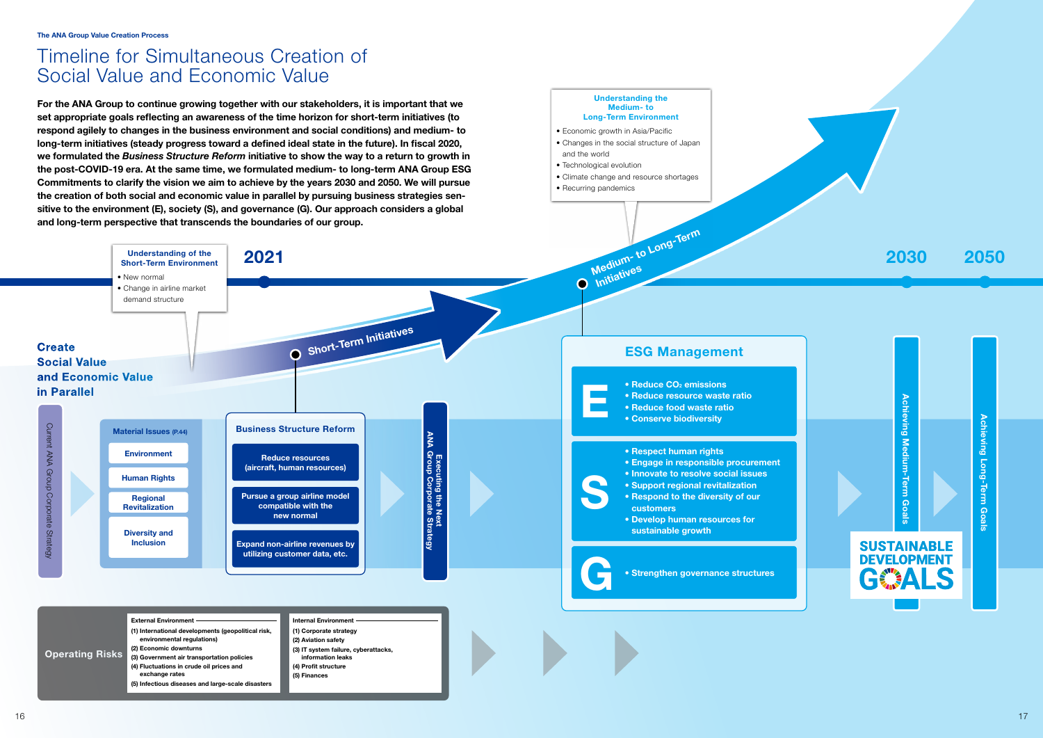For the ANA Group to continue growing together with our stakeholders, it is important that we set appropriate goals reflecting an awareness of the time horizon for short-term initiatives (to respond agilely to changes in the business environment and social conditions) and medium- to long-term initiatives (steady progress toward a defined ideal state in the future). In fiscal 2020, we formulated the *Business Structure Reform* initiative to show the way to a return to growth in the post-COVID-19 era. At the same time, we formulated medium- to long-term ANA Group ESG Commitments to clarify the vision we aim to achieve by the years 2030 and 2050. We will pursue the creation of both social and economic value in parallel by pursuing business strategies sen sitive to the environment (E), society (S), and governance (G). Our approach considers a global and long-term perspective that transcends the boundaries of our group.

### Medium- to Long-Term Understanding of the  $2030$  2050 Short-Term Environment • New normal  $\overline{O}$ • Change in airline market demand structure O Short-Term Initiatives **Create** ESG Management Social Value and Economic Value • Reduce CO<sub>2</sub> emission<br>• Reduce resource was<br>• Reduce food waste ra<br>• Conserve biodiversity • Reduce CO<sub>2</sub> emissions in Parallel • Reduce CO • Reduce resource waste ratio • Reduce food waste ratio Current ANA Group Corporate Strategy Current ANA Group Corporate Strategy Business Structure Reform Material Issues (P.44) **Executing the Next<br>ANA Group Corporate Strategy** ANA Group Corporate Strategy • Respect human rights Environment Reduce resources Executing the Next • Engage in responsible procurement (aircraft, human resources) • Innovate to resolve social issues S Human Rights • Support regional revitalization Pursue a group airline model • Respond to the diversity of our Regional compatible with the Revitalization customers new normal • Develop human resources for sustainable growth Diversity and Inclusion Expand non-airline revenues by utilizing customer data, etc. • Strengthen governance structures

# Timeline for Simultaneous Creation of Social Value and Economic Value



**SUSTAINABLE DEVELOPMENT** 

GESA

Understanding the Medium- to Long-Term Environment

| <b>External Environment</b><br>(1) International developments (geopolitical risk,<br>environmental regulations)<br>(2) Economic downturns<br>Operating Risks (3) Government air transportation policies<br>(4) Fluctuations in crude oil prices and<br>exchange rates<br>(5) Infectious diseases and large-scale disasters | Internal Environment<br>(1) Corporate strategy<br>(2) Aviation safety<br>(3) IT system failure, cyberattacks,<br>information leaks<br>(4) Profit structure<br>(5) Finances |  |  |
|----------------------------------------------------------------------------------------------------------------------------------------------------------------------------------------------------------------------------------------------------------------------------------------------------------------------------|----------------------------------------------------------------------------------------------------------------------------------------------------------------------------|--|--|

• Economic growth in Asia/Pacific

• Changes in the social structure of Japan

and the world

• Technological evolution

• Climate change and resource shortages

• Recurring pandemics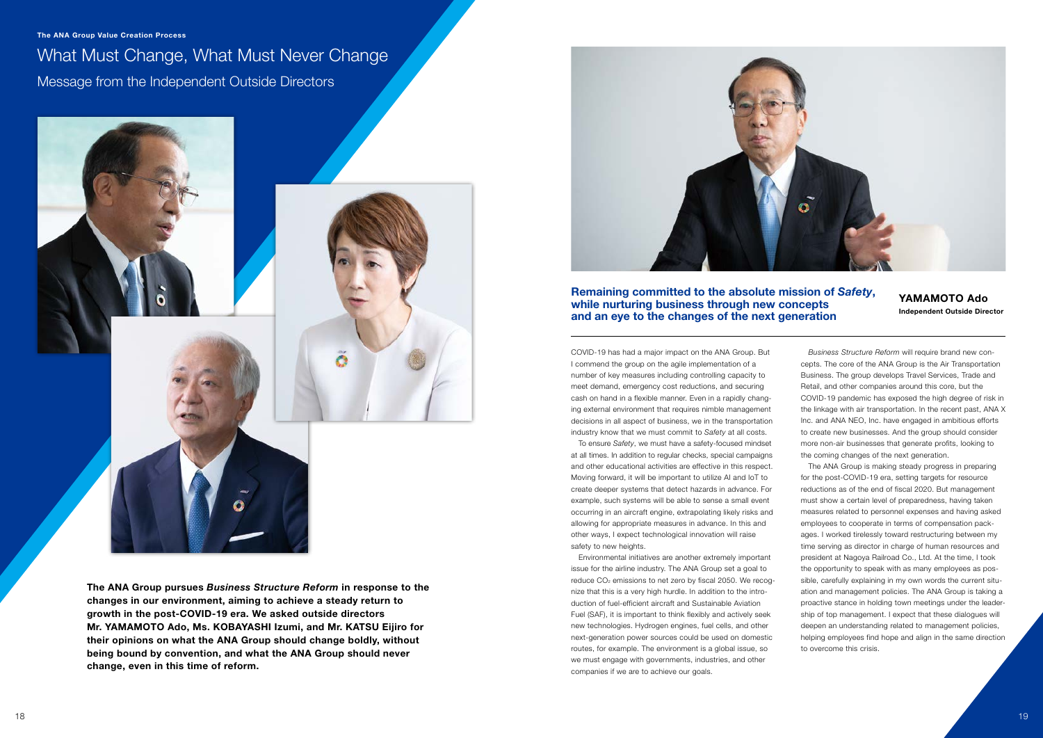What Must Change, What Must Never Change Message from the Independent Outside Directors



The ANA Group pursues *Business Structure Reform* in response to the changes in our environment, aiming to achieve a steady return to growth in the post-COVID-19 era. We asked outside directors Mr. YAMAMOTO Ado, Ms. KOBAYASHI Izumi, and Mr. KATSU Eijiro for their opinions on what the ANA Group should change boldly, without being bound by convention, and what the ANA Group should never change, even in this time of reform.



To ensure *Safety*, we must have a safety-focused mindset at all times. In addition to regular checks, special campaigns and other educational activities are effective in this respect. Moving forward, it will be important to utilize AI and IoT to create deeper systems that detect hazards in advance. For example, such systems will be able to sense a small event occurring in an aircraft engine, extrapolating likely risks and allowing for appropriate measures in advance. In this and other ways, I expect technological innovation will raise safety to new heights.

COVID-19 has had a major impact on the ANA Group. But I commend the group on the agile implementation of a number of key measures including controlling capacity to meet demand, emergency cost reductions, and securing cash on hand in a flexible manner. Even in a rapidly changing external environment that requires nimble management decisions in all aspect of business, we in the transportation industry know that we must commit to *Safety* at all costs.

Environmental initiatives are another extremely important issue for the airline industry. The ANA Group set a goal to reduce CO2 emissions to net zero by fiscal 2050. We recognize that this is a very high hurdle. In addition to the introduction of fuel-efficient aircraft and Sustainable Aviation Fuel (SAF), it is important to think flexibly and actively seek new technologies. Hydrogen engines, fuel cells, and other next-generation power sources could be used on domestic routes, for example. The environment is a global issue, so we must engage with governments, industries, and other companies if we are to achieve our goals.

*Business Structure Reform* will require brand new concepts. The core of the ANA Group is the Air Transportation Business. The group develops Travel Services, Trade and Retail, and other companies around this core, but the COVID-19 pandemic has exposed the high degree of risk in the linkage with air transportation. In the recent past, ANA X Inc. and ANA NEO, Inc. have engaged in ambitious efforts to create new businesses. And the group should consider more non-air businesses that generate profits, looking to the coming changes of the next generation.

The ANA Group is making steady progress in preparing for the post-COVID-19 era, setting targets for resource reductions as of the end of fiscal 2020. But management must show a certain level of preparedness, having taken measures related to personnel expenses and having asked employees to cooperate in terms of compensation packages. I worked tirelessly toward restructuring between my time serving as director in charge of human resources and president at Nagoya Railroad Co., Ltd. At the time, I took the opportunity to speak with as many employees as possible, carefully explaining in my own words the current situation and management policies. The ANA Group is taking a proactive stance in holding town meetings under the leadership of top management. I expect that these dialogues will deepen an understanding related to management policies, helping employees find hope and align in the same direction to overcome this crisis.

Remaining committed to the absolute mission of *Safety*, while nurturing business through new concepts and an eye to the changes of the next generation

The ANA Group Value Creation Process The ANA Group Value Creation Process

YAMAMOTO Ado Independent Outside Director